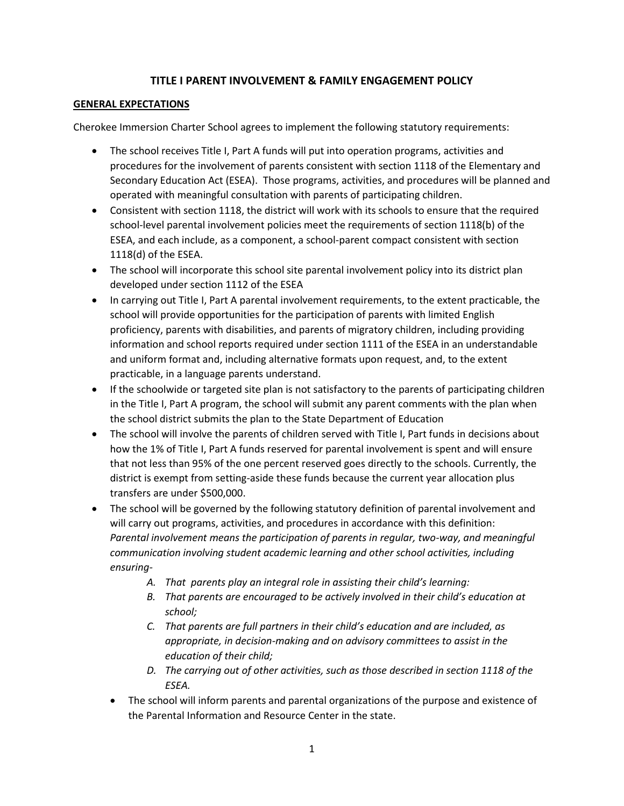## **TITLE I PARENT INVOLVEMENT & FAMILY ENGAGEMENT POLICY**

### **GENERAL EXPECTATIONS**

Cherokee Immersion Charter School agrees to implement the following statutory requirements:

- The school receives Title I, Part A funds will put into operation programs, activities and procedures for the involvement of parents consistent with section 1118 of the Elementary and Secondary Education Act (ESEA). Those programs, activities, and procedures will be planned and operated with meaningful consultation with parents of participating children.
- Consistent with section 1118, the district will work with its schools to ensure that the required school-level parental involvement policies meet the requirements of section 1118(b) of the ESEA, and each include, as a component, a school-parent compact consistent with section 1118(d) of the ESEA.
- The school will incorporate this school site parental involvement policy into its district plan developed under section 1112 of the ESEA
- In carrying out Title I, Part A parental involvement requirements, to the extent practicable, the school will provide opportunities for the participation of parents with limited English proficiency, parents with disabilities, and parents of migratory children, including providing information and school reports required under section 1111 of the ESEA in an understandable and uniform format and, including alternative formats upon request, and, to the extent practicable, in a language parents understand.
- If the schoolwide or targeted site plan is not satisfactory to the parents of participating children in the Title I, Part A program, the school will submit any parent comments with the plan when the school district submits the plan to the State Department of Education
- The school will involve the parents of children served with Title I, Part funds in decisions about how the 1% of Title I, Part A funds reserved for parental involvement is spent and will ensure that not less than 95% of the one percent reserved goes directly to the schools. Currently, the district is exempt from setting-aside these funds because the current year allocation plus transfers are under \$500,000.
- The school will be governed by the following statutory definition of parental involvement and will carry out programs, activities, and procedures in accordance with this definition: Parental involvement means the participation of parents in regular, two-way, and meaningful *communication involving student academic learning and other school activities, including ensuring-*
	- *A. That parents play an integral role in assisting their child's learning:*
	- *B. That parents are encouraged to be actively involved in their child's education at school;*
	- *C. That parents are full partners in their child's education and are included, as appropriate, in decision-making and on advisory committees to assist in the education of their child;*
	- *D. The carrying out of other activities, such as those described in section 1118 of the ESEA.*
	- The school will inform parents and parental organizations of the purpose and existence of the Parental Information and Resource Center in the state.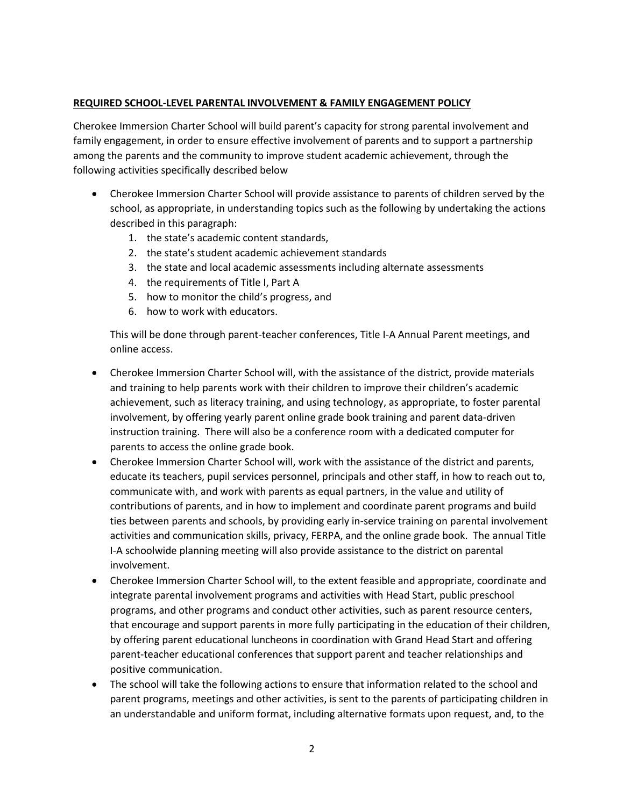### **REQUIRED SCHOOL-LEVEL PARENTAL INVOLVEMENT & FAMILY ENGAGEMENT POLICY**

Cherokee Immersion Charter School will build parent's capacity for strong parental involvement and family engagement, in order to ensure effective involvement of parents and to support a partnership among the parents and the community to improve student academic achievement, through the following activities specifically described below

- Cherokee Immersion Charter School will provide assistance to parents of children served by the school, as appropriate, in understanding topics such as the following by undertaking the actions described in this paragraph:
	- 1. the state's academic content standards,
	- 2. the state's student academic achievement standards
	- 3. the state and local academic assessments including alternate assessments
	- 4. the requirements of Title I, Part A
	- 5. how to monitor the child's progress, and
	- 6. how to work with educators.

This will be done through parent-teacher conferences, Title I-A Annual Parent meetings, and online access.

- Cherokee Immersion Charter School will, with the assistance of the district, provide materials and training to help parents work with their children to improve their children's academic achievement, such as literacy training, and using technology, as appropriate, to foster parental involvement, by offering yearly parent online grade book training and parent data-driven instruction training. There will also be a conference room with a dedicated computer for parents to access the online grade book.
- Cherokee Immersion Charter School will, work with the assistance of the district and parents, educate its teachers, pupil services personnel, principals and other staff, in how to reach out to, communicate with, and work with parents as equal partners, in the value and utility of contributions of parents, and in how to implement and coordinate parent programs and build ties between parents and schools, by providing early in-service training on parental involvement activities and communication skills, privacy, FERPA, and the online grade book. The annual Title I-A schoolwide planning meeting will also provide assistance to the district on parental involvement.
- Cherokee Immersion Charter School will, to the extent feasible and appropriate, coordinate and integrate parental involvement programs and activities with Head Start, public preschool programs, and other programs and conduct other activities, such as parent resource centers, that encourage and support parents in more fully participating in the education of their children, by offering parent educational luncheons in coordination with Grand Head Start and offering parent-teacher educational conferences that support parent and teacher relationships and positive communication.
- The school will take the following actions to ensure that information related to the school and parent programs, meetings and other activities, is sent to the parents of participating children in an understandable and uniform format, including alternative formats upon request, and, to the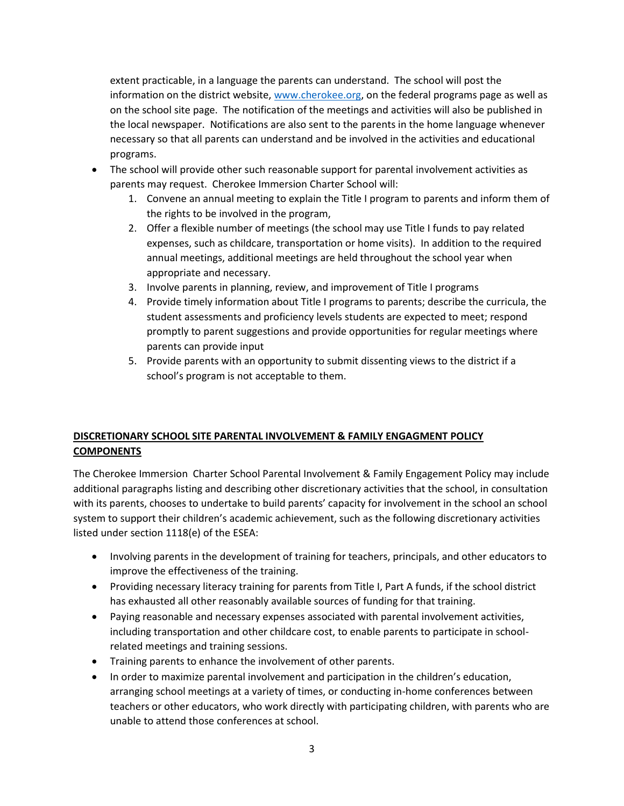extent practicable, in a language the parents can understand. The school will post the information on the district website, [www.cherokee.org,](http://www.cherokee.org/) on the federal programs page as well as on the school site page. The notification of the meetings and activities will also be published in the local newspaper. Notifications are also sent to the parents in the home language whenever necessary so that all parents can understand and be involved in the activities and educational programs.

- The school will provide other such reasonable support for parental involvement activities as parents may request. Cherokee Immersion Charter School will:
	- 1. Convene an annual meeting to explain the Title I program to parents and inform them of the rights to be involved in the program,
	- 2. Offer a flexible number of meetings (the school may use Title I funds to pay related expenses, such as childcare, transportation or home visits). In addition to the required annual meetings, additional meetings are held throughout the school year when appropriate and necessary.
	- 3. Involve parents in planning, review, and improvement of Title I programs
	- 4. Provide timely information about Title I programs to parents; describe the curricula, the student assessments and proficiency levels students are expected to meet; respond promptly to parent suggestions and provide opportunities for regular meetings where parents can provide input
	- 5. Provide parents with an opportunity to submit dissenting views to the district if a school's program is not acceptable to them.

# **DISCRETIONARY SCHOOL SITE PARENTAL INVOLVEMENT & FAMILY ENGAGMENT POLICY COMPONENTS**

The Cherokee Immersion Charter School Parental Involvement & Family Engagement Policy may include additional paragraphs listing and describing other discretionary activities that the school, in consultation with its parents, chooses to undertake to build parents' capacity for involvement in the school an school system to support their children's academic achievement, such as the following discretionary activities listed under section 1118(e) of the ESEA:

- Involving parents in the development of training for teachers, principals, and other educators to improve the effectiveness of the training.
- Providing necessary literacy training for parents from Title I, Part A funds, if the school district has exhausted all other reasonably available sources of funding for that training.
- Paying reasonable and necessary expenses associated with parental involvement activities, including transportation and other childcare cost, to enable parents to participate in schoolrelated meetings and training sessions.
- Training parents to enhance the involvement of other parents.
- In order to maximize parental involvement and participation in the children's education, arranging school meetings at a variety of times, or conducting in-home conferences between teachers or other educators, who work directly with participating children, with parents who are unable to attend those conferences at school.